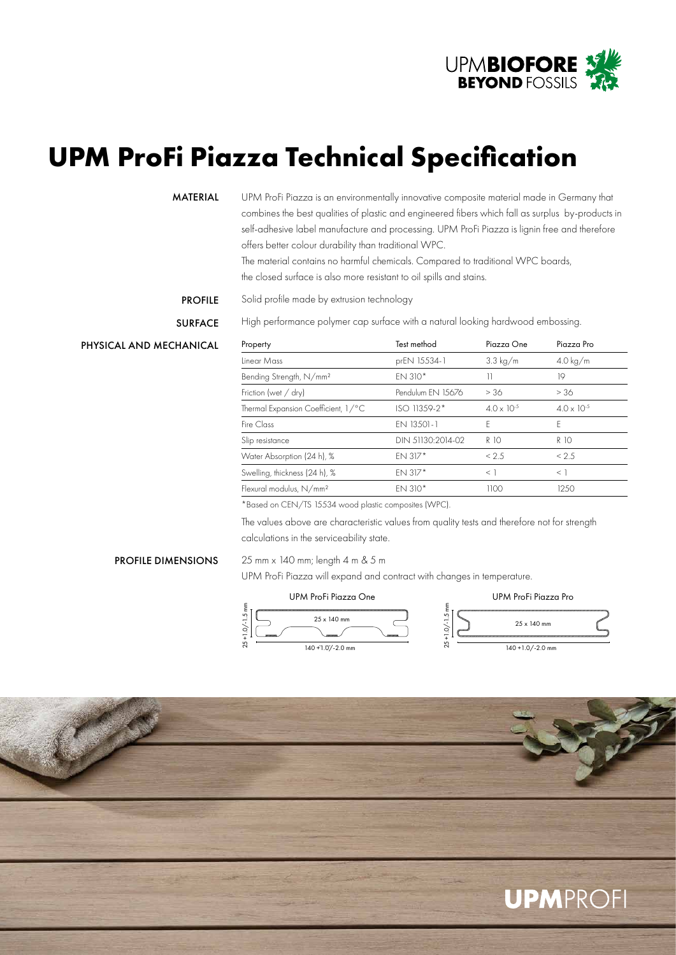

# **UPM ProFi Piazza Technical Specification**

Solid profile made by extrusion technology

### MATERIAL

UPM ProFi Piazza is an environmentally innovative composite material made in Germany that combines the best qualities of plastic and engineered fibers which fall as surplus by-products in self-adhesive label manufacture and processing. UPM ProFi Piazza is lignin free and therefore offers better colour durability than traditional WPC.

The material contains no harmful chemicals. Compared to traditional WPC boards, the closed surface is also more resistant to oil spills and stains.

# PROFILE

**SURFACE** 

High performance polymer cap surface with a natural looking hardwood embossing.

## PHYSICAL AND MECHANICAL

| Property                            | Test method       | Piazza One           | Piazza Pro           |
|-------------------------------------|-------------------|----------------------|----------------------|
| Linear Mass                         | prEN 15534-1      | $3.3 \text{ kg/m}$   | $4.0 \text{ kg/m}$   |
| Bending Strength, N/mm <sup>2</sup> | FN 310*           | 11                   | 19                   |
| Friction (wet / dry)                | Pendulum EN 15676 | > 36                 | > 36                 |
| Thermal Expansion Coefficient, 1/°C | ISO 11359-2*      | $4.0 \times 10^{-5}$ | $4.0 \times 10^{-5}$ |
| Fire Class                          | EN 13501-1        | F                    | F                    |
| Slip resistance                     | DIN 51130:2014-02 | R 10                 | R 10                 |
| Water Absorption (24 h), %          | FN 317*           | < 2.5                | < 2.5                |
| Swelling, thickness (24 h), %       | EN 317*           | $\leq$ 1             | $\leq$ 1             |
| Flexural modulus, N/mm <sup>2</sup> | $EN 310*$         | 1100                 | 1250                 |

\*Based on CEN/TS 15534 wood plastic composites (WPC).

The values above are characteristic values from quality tests and therefore not for strength calculations in the serviceability state.

### PROFILE DIMENSIONS

#### 25 mm x 140 mm; length 4 m & 5 m

 $1.0/-1.5$ 

25 +1.0/-1.5 mm

UPM ProFi Piazza will expand and contract with changes in temperature.

#### UPM ProFi Piazza One